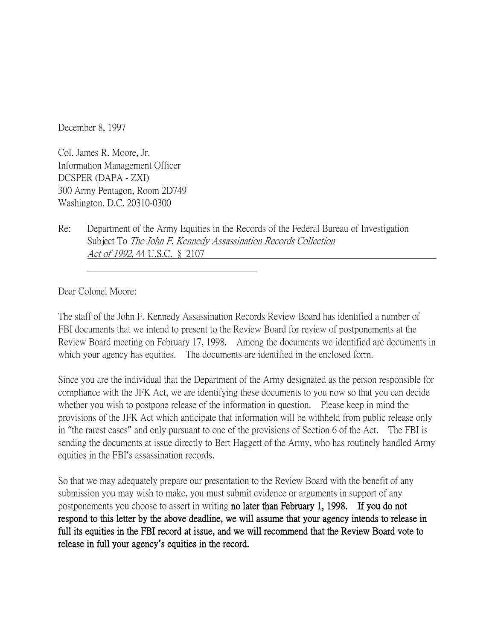December 8, 1997

Col. James R. Moore, Jr. Information Management Officer DCSPER (DAPA - ZXI) 300 Army Pentagon, Room 2D749 Washington, D.C. 20310-0300

Re: Department of the Army Equities in the Records of the Federal Bureau of Investigation Subject To The John F. Kennedy Assassination Records Collection Act of 1992, 44 U.S.C. § 2107

Dear Colonel Moore:

The staff of the John F. Kennedy Assassination Records Review Board has identified a number of FBI documents that we intend to present to the Review Board for review of postponements at the Review Board meeting on February 17, 1998. Among the documents we identified are documents in which your agency has equities. The documents are identified in the enclosed form.

Since you are the individual that the Department of the Army designated as the person responsible for compliance with the JFK Act, we are identifying these documents to you now so that you can decide whether you wish to postpone release of the information in question. Please keep in mind the provisions of the JFK Act which anticipate that information will be withheld from public release only in "the rarest cases" and only pursuant to one of the provisions of Section 6 of the Act. The FBI is sending the documents at issue directly to Bert Haggett of the Army, who has routinely handled Army equities in the FBI's assassination records.

So that we may adequately prepare our presentation to the Review Board with the benefit of any submission you may wish to make, you must submit evidence or arguments in support of any postponements you choose to assert in writing no later than February 1, 1998. If you do not respond to this letter by the above deadline, we will assume that your agency intends to release in full its equities in the FBI record at issue, and we will recommend that the Review Board vote to release in full your agency**'**s equities in the record.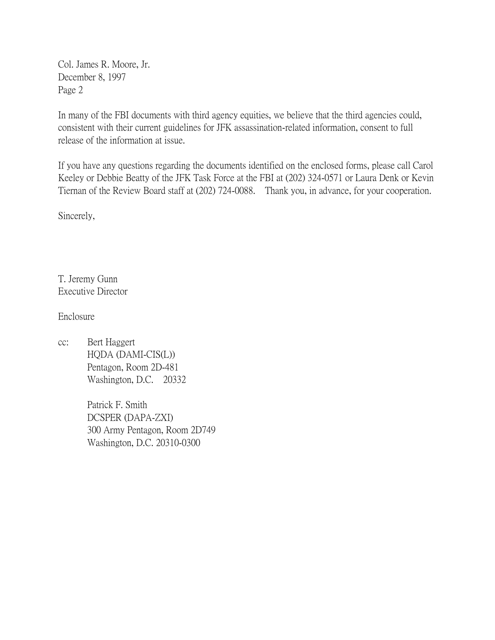Col. James R. Moore, Jr. December 8, 1997 Page 2

In many of the FBI documents with third agency equities, we believe that the third agencies could, consistent with their current guidelines for JFK assassination-related information, consent to full release of the information at issue.

If you have any questions regarding the documents identified on the enclosed forms, please call Carol Keeley or Debbie Beatty of the JFK Task Force at the FBI at (202) 324-0571 or Laura Denk or Kevin Tiernan of the Review Board staff at (202) 724-0088. Thank you, in advance, for your cooperation.

Sincerely,

T. Jeremy Gunn Executive Director

Enclosure

cc: Bert Haggert HQDA (DAMI-CIS(L)) Pentagon, Room 2D-481 Washington, D.C. 20332

> Patrick F. Smith DCSPER (DAPA-ZXI) 300 Army Pentagon, Room 2D749 Washington, D.C. 20310-0300